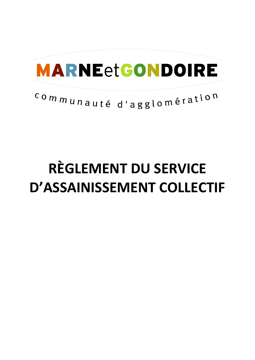# **MARNEetGONDOIRE**

# communauté d'agglomération

# **RÈGLEMENT DU SERVICE D'ASSAINISSEMENT COLLECTIF**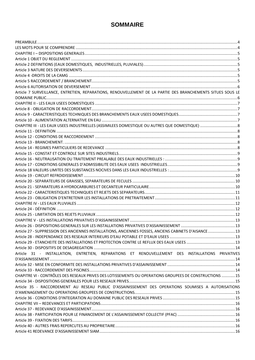# **SOMMAIRE**

| Article 7 SURVEILLANCE, ENTRETIEN, REPARATIONS, RENOUVELLEMENT DE LA PARTIE DES BRANCHEMENTS SITUES SOUS LE |  |
|-------------------------------------------------------------------------------------------------------------|--|
|                                                                                                             |  |
|                                                                                                             |  |
|                                                                                                             |  |
|                                                                                                             |  |
|                                                                                                             |  |
|                                                                                                             |  |
|                                                                                                             |  |
|                                                                                                             |  |
|                                                                                                             |  |
|                                                                                                             |  |
|                                                                                                             |  |
|                                                                                                             |  |
|                                                                                                             |  |
|                                                                                                             |  |
|                                                                                                             |  |
|                                                                                                             |  |
|                                                                                                             |  |
|                                                                                                             |  |
|                                                                                                             |  |
|                                                                                                             |  |
|                                                                                                             |  |
|                                                                                                             |  |
|                                                                                                             |  |
|                                                                                                             |  |
|                                                                                                             |  |
| Article 27 - SUPPRESSION DES ANCIENNES INSTALLATIONS, ANCIENNES FOSSES, ANCIENS CABINETS D'AISANCE  13      |  |
|                                                                                                             |  |
|                                                                                                             |  |
|                                                                                                             |  |
|                                                                                                             |  |
| Article 31 - INSTALLATION, ENTRETIEN, REPARATIONS ET RENOUVELLEMENT DES INSTALLATIONS PRIVATIVES            |  |
|                                                                                                             |  |
|                                                                                                             |  |
|                                                                                                             |  |
| CHAPITRE VI - CONTRÔLES DES RESEAUX PRIVES DES LOTISSEMENTS OU OPERATIONS GROUPEES DE CONSTRUCTIONS 15      |  |
|                                                                                                             |  |
| Article 35 - RACCORDEMENT AU RESEAU PUBLIC D'ASSAINISSEMENT DES OPERATIONS SOUMISES A AUTORISATIONS         |  |
|                                                                                                             |  |
|                                                                                                             |  |
|                                                                                                             |  |
|                                                                                                             |  |
|                                                                                                             |  |
|                                                                                                             |  |
|                                                                                                             |  |
|                                                                                                             |  |
|                                                                                                             |  |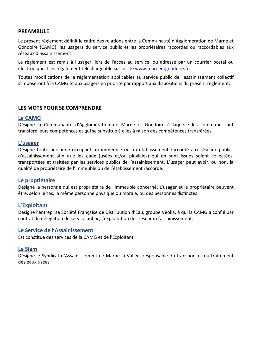# **PREAMBULE**

Le présent règlement définit le cadre des relations entre la Communauté d'Agglomération de Marne et Gondoire (CAMG), les usagers du service public et les propriétaires raccordés ou raccordables aux réseaux d'assainissement.

Le règlement est remis à l'usager, lors de l'accès au service, ou adressé par un courrier postal ou électronique. Il est également téléchargeable sur le site www.marneetgondoire.fr

Toutes modifications de la réglementation applicables au service public de l'assainissement collectif s'imposeront à la CAMG et aux usagers en priorité par rapport aux dispositions du présent règlement.

# **LES MOTS POUR SE COMPRENDRE**

# **La CAMG**

Désigne la Communauté d'Agglomération de Marne et Gondoire à laquelle les communes ont transféré leurs compétences et qui se substitue à elles à raison des compétences transférées.

# **L'usager**

Désigne toute personne occupant un immeuble ou un établissement raccordé aux réseaux publics d'assainissement afin que les eaux (usées et/ou pluviales) qui en sont issues soient collectées, transportées et traitées par les services publics de l'assainissement. L'usager peut avoir, ou non, la qualité de propriétaire de l'immeuble ou de l'établissement raccordé.

# **Le propriétaire**

Désigne la personne qui est propriétaire de l'immeuble concerné. L'usager et le propriétaire peuvent être, selon le cas, la même personne physique ou morale, ou des personnes distinctes.

# **L'Exploitant**

Désigne l'entreprise Société Française de Distribution d'Eau, groupe Veolia, à qui la CAMG a confié par contrat de délégation de service public, l'exploitation des réseaux d'assainissement.

# **Le Service de l'Assainissement**

Est constitué des services de la CAMG et de l'Exploitant.

# **Le Siam**

Désigne le Syndicat d'Assainissement de Marne la Vallée, responsable du transport et du traitement des eaux usées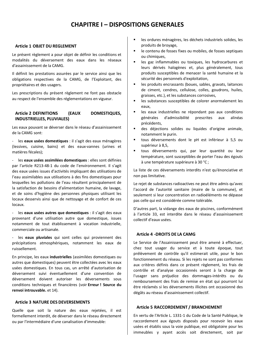# **CHAPITRE I – DISPOSITIONS GENERALES**

#### **Article 1 OBJET DU REGLEMENT**

Le présent règlement a pour objet de définir les conditions et modalités du déversement des eaux dans les réseaux d'assainissement de la CAMG.

Il définit les prestations assurées par le service ainsi que les obligations respectives de la CAMG, de l'Exploitant, des propriétaires et des usagers*.*

Les prescriptions du présent règlement ne font pas obstacle au respect de l'ensemble des réglementations en vigueur.

# **Article 2 DEFINITIONS (EAUX DOMESTIQUES, INDUSTRIELLES, PLUVIALES)**

Les eaux pouvant se déverser dans le réseau d'assainissement de la CAMG sont:

- les **eaux usées domestiques** : il s'agit des eaux ménagères (lessives, cuisine, bains) et des eaux-vannes (urines et matières fécales);

- les **eaux usées assimilées domestiques** : elles sont définies par l'article R213-48-1 du code de l'environnement. Il s'agit des eaux usées issues d'activités impliquant des utilisations de l'eau assimilables aux utilisations à des fins domestiques pour lesquelles les pollutions de l'eau résultent principalement de la satisfaction de besoins d'alimentation humaine, de lavage, et de soins d'hygiène des personnes physiques utilisant les locaux desservis ainsi que de nettoyage et de confort de ces locaux.

- les **eaux usées autres que domestiques** : il s'agit des eaux provenant d'une utilisation autre que domestique, issues notamment de tout établissement à vocation industrielle, commerciale ou artisanale.

les **eaux pluviales** qui sont celles qui proviennent des précipitations atmosphériques, notamment les eaux de ruissellement.

En principe, les eaux **industrielles** (assimilées domestiques ou autres que domestiques) peuvent être collectées avec les eaux usées domestiques. En tous cas, un arrêté d'autorisation de déversement suivi éventuellement d'une convention de déversement doivent autoriser les déversements sous conditions techniques et financières (voir **Erreur ! Source du renvoi introuvable.** et 14).

#### **Article 3 NATURE DES DEVERSEMENTS**

Quelle que soit la nature des eaux rejetées, il est formellement interdit, de déverser dans le réseau directement ou par l'intermédiaire d'une canalisation d'immeuble:

- les ordures ménagères, les déchets industriels solides, les produits de broyage,
- ß le contenu de fosses fixes ou mobiles, de fosses septiques ou chimiques,
- **EXECTES** les gaz inflammables ou toxiques, les hydrocarbures et leurs dérivés halogènes et, plus généralement, tous produits susceptibles de menacer la santé humaine et la sécurité des personnels d'exploitation,
- **EXECTES** les produits encrassants (boues, sables, gravats, laitances de ciment, cendres, cellulose, colles, goudrons, huiles, graisses, etc.), et les substances corrosives,
- **EXECTE les substances susceptibles de colorer anormalement les** eaux,
- **EXECTE:** les eaux industrielles ne répondant pas aux conditions générales d'admissibilité prescrites aux alinéas précédents,
- ß des déjections solides ou liquides d'origine animale, notamment le purin.
- ß tous déversements dont le pH est inférieur à 5,5 ou supérieur à 8,5,
- ß tous déversements qui, par leur quantité ou leur température, sont susceptibles de porter l'eau des égouts à une température supérieure à 30 °C ;

La liste de ces déversements interdits n'est qu'énonciative et non pas limitative.

Le rejet de substances radioactives ne peut être admis qu'avec l'accord de l'autorité sanitaire (maire de la commune), et seulement si leur concentration en radioéléments ne dépasse pas celle qui est considérée comme tolérable.

D'autres part, la vidange des eaux de piscines, conformément à l'article 33, est interdite dans le réseau d'assainissement collectif d'eaux usées.

## **Article 4 -DROITS DE LA CAMG**

Le Service de l'Assainissement peut être amené à effectuer, chez tout usager du service et à toute époque, tout prélèvement de contrôle qu'il estimerait utile, pour le bon fonctionnement du réseau. Si les rejets ne sont pas conformes aux critères définis dans ce présent règlement, les frais de contrôle et d'analyse occasionnés seront à la charge de l'usager sans préjudice des dommages-intérêts ou du remboursement des frais de remise en état qui pourront lui être réclamés si les déversements illicites ont occasionné des dégâts au réseau d'assainissement collectif.

## **Article 5 RACCORDEMENT / BRANCHEMENT**

En vertu de l'Article L. 1331-1 du Code de la Santé Publique, le raccordement aux égouts disposés pour recevoir les eaux usées et établis sous la voie publique, est obligatoire pour les immeubles y ayant accès soit directement, soit par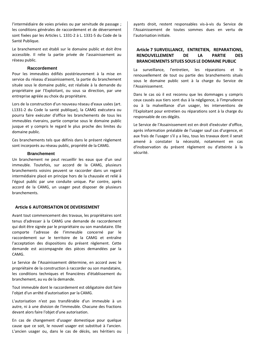l'intermédiaire de voies privées ou par servitude de passage ; les conditions générales de raccordement et de déversement sont fixées par les Articles L. 1331-2 à L. 1331-5 du Code de la Santé Publique.

Le branchement est établi sur le domaine public et doit être accessible. Il relie la partie privée de l'assainissement au réseau public.

#### **Raccordement**

Pour les immeubles édifiés postérieurement à la mise en service du réseau d'assainissement, la partie du branchement située sous le domaine public, est réalisée à la demande du propriétaire par l'Exploitant, ou sous sa direction, par une entreprise agréée au choix du propriétaire.

Lors de la construction d'un nouveau réseau d'eaux usées (art. L1331-2 du Code la santé publique), la CAMG exécutera ou pourra faire exécuter d'office les branchements de tous les immeubles riverains, partie comprise sous le domaine public jusque et y compris le regard le plus proche des limites du domaine public.

Ces branchements tels que définis dans le présent règlement sont incorporés au réseau public, propriété de la CAMG.

#### **Branchement**

Un branchement ne peut recueillir les eaux que d'un seul immeuble. Toutefois, sur accord de la CAMG, plusieurs branchements voisins peuvent se raccorder dans un regard intermédiaire placé en principe hors de la chaussée et relié à l'égout public par une conduite unique. Par contre, après accord de la CAMG, un usager peut disposer de plusieurs branchements.

#### **Article 6 AUTORISATION DE DEVERSEMENT**

Avant tout commencement des travaux, les propriétaires sont tenus d'adresser à la CAMG une demande de raccordement qui doit être signée par le propriétaire ou son mandataire. Elle comporte l'adresse de l'immeuble concerné par le raccordement sur le territoire de la CAMG et entraîne l'acceptation des dispositions du présent règlement. Cette demande est accompagnée des pièces demandées par la CAMG.

Le Service de l'Assainissement détermine, en accord avec le propriétaire de la construction à raccorder ou son mandataire, les conditions techniques et financières d'établissement du branchement, au vu de la demande.

Tout immeuble dont le raccordement est obligatoire doit faire l'objet d'un arrêté d'autorisation par la CAMG.

L'autorisation n'est pas transférable d'un immeuble à un autre, ni à une division de l'immeuble. Chacune des fractions devant alors faire l'objet d'une autorisation.

En cas de changement d'usager domestique pour quelque cause que ce soit, le nouvel usager est substitué à l'ancien. L'ancien usager ou, dans le cas de décès, ses héritiers ou ayants droit, restent responsables vis-à-vis du Service de l'Assainissement de toutes sommes dues en vertu de l'autorisation initiale.

# **Article 7 SURVEILLANCE, ENTRETIEN, REPARATIONS, RENOUVELLEMENT DE LA PARTIE DES BRANCHEMENTS SITUES SOUS LE DOMAINE PUBLIC**

La surveillance, l'entretien, les réparations et le renouvellement de tout ou partie des branchements situés sous le domaine public sont à la charge du Service de l'Assainissement.

Dans le cas où il est reconnu que les dommages y compris ceux causés aux tiers sont dus à la négligence, à l'imprudence ou à la malveillance d'un usager, les interventions de l'Exploitant pour entretien ou réparations sont à la charge du responsable de ces dégâts.

Le Service de l'Assainissement est en droit d'exécuter d'office, après information préalable de l'usager sauf cas d'urgence, et aux frais de l'usager s'il y a lieu, tous les travaux dont il serait amené à constater la nécessité, notamment en cas d'inobservation du présent règlement ou d'atteinte à la sécurité.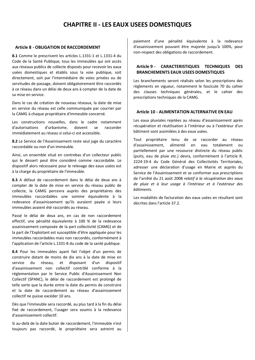# **CHAPITRE II - LES EAUX USEES DOMESTIQUES**

#### **Article 8 - OBLIGATION DE RACCORDEMENT**

**8.1** Comme le prescrivent les articles L.1331-1 et L.1331-4 du Code de la Santé Publique, tous les immeubles qui ont accès aux réseaux publics de collecte disposés pour recevoir les eaux usées domestiques et établis sous la voie publique, soit directement, soit par l'intermédiaire de voies privées ou de servitudes de passage, doivent obligatoirement être raccordés à ce réseau dans un délai de deux ans à compter de la date de sa mise en service.

Dans le cas de création de nouveau réseaux, la date de mise en service du réseau est celle communiquée par courrier par la CAMG à chaque propriétaire d'immeuble concerné.

Les constructions nouvelles, dans le cadre notamment d'autorisations d'urbanisme, doivent se raccorder immédiatement au réseau si celui-ci est accessible.

**8.2** Le Service de l'Assainissement reste seul juge du caractère raccordable ou non d'un immeuble.

Ainsi, un ensemble situé en contrebas d'un collecteur public qui le dessert peut être considéré comme raccordable. Le dispositif alors nécessaire pour le relevage des eaux usées est à la charge du propriétaire de l'immeuble.

**8.3** A défaut de raccordement dans le délai de deux ans à compter de la date de mise en service du réseau public de collecte, la CAMG percevra auprès des propriétaires des immeubles raccordables une somme équivalente à la redevance d'assainissement qu'ils auraient payée si leurs immeubles avaient été raccordés au réseau.

Passé le délai de deux ans, en cas de non raccordement effectif, une pénalité équivalente à 100 % de la redevance assainissement composée de la part collectivité (CAMG) et de la part de l'Exploitant est susceptible d'être appliquée pour les immeubles raccordables mais non raccordés, conformément à l'application de l'article L.1331-8 du code de la santé publique.

**8.4** Pour les immeubles ayant fait l'objet d'un permis de construire datant de moins de dix ans à la date de mise en service du réseau, et disposant d'un dispositif d'assainissement non collectif contrôlé conforme à la réglementation par le Service Public d'Assainissement Non Collectif (SPANC), le délai de raccordement est prolongé de telle sorte que la durée entre la date du permis de construire et la date de raccordement au réseau d'assainissement collectif ne puisse excéder 10 ans.

Dès que l'immeuble sera raccordé, au plus tard à la fin du délai fixé de raccordement, l'usager sera soumis à la redevance d'assainissement collectif.

Si au-delà de la date butoir de raccordement, l'immeuble n'est toujours pas raccordé, le propriétaire sera astreint au paiement d'une pénalité équivalente à la redevance d'assainissement pouvant être majorée jusqu'à 100%, pour non-respect des obligations de raccordement.

#### **Article 9 - CARACTERISTIQUES TECHNIQUES DES BRANCHEMENTS EAUX USEES DOMESTIQUES**

Les branchements seront réalisés selon les prescriptions des règlements en vigueur, notamment le fascicule 70 du cahier des clauses techniques générales, et le cahier des prescriptions techniques de la CAMG.

#### **Article 10 - ALIMENTATION ALTERNATIVE EN EAU**

Les eaux pluviales rejetées au réseau d'assainissement après récupération et réutilisation à l'intérieur ou à l'extérieur d'un bâtiment sont assimilées à des eaux usées.

Tout propriétaire tenu de se raccorder au réseau d'assainissement, alimenté en eau totalement ou partiellement par une ressource distincte du réseau public (puits, eau de pluie etc.) devra, conformément à l'article R. 2224-19-4 du Code Général des Collectivités Territoriales, adresser une déclaration d'usage en Mairie et auprès du Service de l'Assainissement et se conformer aux prescriptions de l'arrêté du 21 août 2008 *relatif à la récupération des eaux de pluie et à leur usage à l'intérieur et à l'extérieur des bâtiments.*

Les modalités de facturation des eaux usées en résultant sont décrites dans l'article 37.2.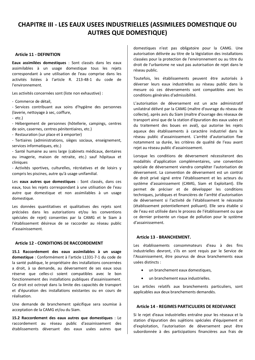# **CHAPITRE III - LES EAUX USEES INDUSTRIELLES (ASSIMILEES DOMESTIQUE OU AUTRES QUE DOMESTIQUE)**

#### **Article 11 - DEFINITION**

**Eaux assimilées domestiques** : Sont classés dans les eaux assimilables à un usage domestique tous les rejets correspondant à une utilisation de l'eau comprise dans les activités listées à l'article R. 213-48-1 du code de l'environnement.

Les activités concernées sont (liste non exhaustive) :

- Commerce de détail,

- Services contribuant aux soins d'hygiène des personnes (laverie, nettoyage à sec, coiffure,

- etc.)

- Hébergement de personnes (hôtellerie, campings, centres de soin, casernes, centres pénitentiaires, etc.)

- Restauration (sur place et à emporter)

- Tertiaires (administrations, sièges sociaux, enseignement, services informatiques, etc.)

- Santé humaine au sens large (cabinets médicaux, dentaires ou imagerie, maison de retraite, etc.) sauf hôpitaux et cliniques

- Activités sportives, culturelles, récréatives et de loisirs y compris les piscines, autre qu'à usage unifamilial.

Les **eaux autres que domestiques** : Sont classés, dans ces eaux, tous les rejets correspondant à une utilisation de l'eau autre que domestique et non assimilables à un usage domestique.

Les données quantitatives et qualitatives des rejets sont précisées dans les autorisations et/ou les conventions spéciales de rejet) consenties par la CAMG et le Siam à l'établissement désireux de se raccorder au réseau public d'assainissement.

#### **Article 12 - CONDITIONS DE RACCORDEMENT**

**15.1 Raccordement des eaux assimilables à un usage domestique** : Conformément à l'article L1331-7-1 du code de la santé publique, le propriétaire des installations concernées a droit, à sa demande, au déversement de ses eaux sous réserve que celles-ci soient compatibles avec le bon fonctionnement des installations publiques d'assainissement. Ce droit est octroyé dans la limite des capacités de transport et d'épuration des installations existantes ou en cours de réalisation.

Une demande de branchement spécifique sera soumise à acceptation de la CAMG et/ou du Siam.

**15.2 Raccordement des eaux autres que domestiques** : Le raccordement au réseau public d'assainissement des établissements déversant des eaux usées autres que domestiques n'est pas obligatoire pour la CAMG. Une autorisation délivrée au titre de la législation des installations classées pour la protection de l'environnement ou au titre du droit de l'urbanisme ne vaut pas autorisation de rejet dans le réseau public.

Toutefois, les établissements peuvent être autorisés à déverser leurs eaux industrielles au réseau public dans la mesure où ces déversements sont compatibles avec les conditions générales d'admissibilité.

L'autorisation de déversement est un acte administratif unilatéral délivré par la CAMG (maître d'ouvrage du réseau de collecte), après avis du Siam (maître d'ouvrage des réseaux de transport ainsi que de la station d'épuration des eaux usées et du traitement des boues en aval), qui autorise les rejets aqueux des établissements à caractère industriel dans le réseau public d'assainissement. L'arrêté d'autorisation fixe notamment sa durée, les critères de qualité de l'eau avant rejet au réseau public d'assainissement.

Lorsque les conditions de déversement nécessiteront des modalités d'application complémentaires, une convention spéciale de déversement viendra compléter l'autorisation de déversement. La convention de déversement est un contrat de droit privé signé entre l'établissement et les acteurs du système d'assainissement (CAMG, Siam et Exploitant). Elle permet de préciser et de développer les conditions techniques, juridiques et financières de l'arrêté d'autorisation de déversement si l'activité de l'établissement le nécessite (établissement potentiellement polluant). Elle sera établie si de l'eau est utilisée dans le process de l'établissement ou que ce dernier présente un risque de pollution pour le système d'assainissement.

#### **Article 13 - BRANCHEMENT.**

Les établissements consommateurs d'eau à des fins industrielles devront, s'ils en sont requis par le Service de l'Assainissement, être pourvus de deux branchements eaux usées distincts :

- · un branchement eaux domestiques,
- un branchement eaux industrielles.

Les articles relatifs aux branchements particuliers, sont applicables aux deux branchements demandés.

#### **Article 14 - REGIMES PARTICULIERS DE REDEVANCE**

Si le rejet d'eaux industrielles entraîne pour les réseaux et la station d'épuration des sujétions spéciales d'équipement et d'exploitation, l'autorisation de déversement peut être subordonnée à des participations financières aux frais de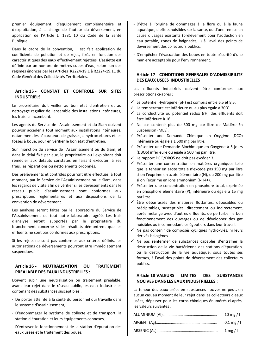premier équipement, d'équipement complémentaire et d'exploitation, à la charge de l'auteur du déversement, en application de l'Article L. 1331 10 du Code de la Santé Publique.

Dans le cadre de la convention, il est fait application de coefficients de pollution et de rejet, fixés en fonction des caractéristiques des eaux effectivement rejetées. L'assiette est définie par un nombre de mètres cubes d'eau, selon l'un des régimes énoncés par les Articles R2224-19.1 à R2224-19.11 du Code Général des Collectivités Territoriales.

## **Article 15 - CONSTAT ET CONTROLE SUR SITES INDUSTRIELS**

Le propriétaire doit veiller au bon état d'entretien et au nettoyage régulier de l'ensemble des installations intérieures, les frais lui incombant.

Les agents du Service de l'Assainissement et du Siam doivent pouvoir accéder à tout moment aux installations intérieures, notamment les séparateurs de graisses, d'hydrocarbures et les fosses à boue, pour en vérifier le bon état d'entretien.

Sur injonction du Service de l'Assainissement ou du Siam, et dans le délai fixé par eux, le propriétaire ou l'exploitant doit remédier aux défauts constatés en faisant exécuter, à ses frais, les réparations ou nettoiements ordonnés.

Des prélèvements et contrôles pourront être effectués, à tout moment, par le Service de l'Assainissement ou le Siam, dans les regards de visite afin de vérifier si les déversements dans le réseau public d'assainissement sont conformes aux prescriptions réglementaires et aux dispositions de la convention de déversement.

Les analyses seront faites par le laboratoire du Service de l'Assainissement ou tout autre laboratoire agréé. Les frais d'analyse seront supportés par le propriétaire du branchement concerné si les résultats démontrent que les effluents ne sont pas conformes aux prescriptions.

Si les rejets ne sont pas conformes aux critères définis, les autorisations de déversements pourront être immédiatement suspendues.

## **Article 16 - NEUTRALISATION OU TRAITEMENT PREALABLE DES EAUX INDUSTRIELLES :**

Doivent subir une neutralisation ou traitement préalable, avant leur rejet dans le réseau public, les eaux industrielles contenant des substances susceptibles :

- De porter atteinte à la santé du personnel qui travaille dans le système d'assainissement,
- D'endommager le système de collecte et de transport, la station d'épuration et leurs équipements connexes,
- D'entraver le fonctionnement de la station d'épuration des eaux usées et le traitement des boues,
- D'être à l'origine de dommages à la flore ou à la faune aquatique, d'effets nuisibles sur la santé, ou d'une remise en cause d'usages existants (prélèvement pour l'adduction en eau potable, zones de baignades,…) à l'aval des points de déversement des collecteurs publics.
- D'empêcher l'évacuation des boues en toute sécurité d'une manière acceptable pour l'environnement.

#### **Article 17 - CONDITIONS GENERALES D'ADMISSIBILITE DES EAUX USEES INDUSTRIELLES**

Les effluents industriels doivent être conformes aux prescriptions ci-après :

- $\checkmark$  Le potentiel Hydrogène (pH) est compris entre 6,5 et 8,5.
- $\checkmark$  La température est inférieure ou au plus égale à 30°C.
- $\checkmark$  La conductivité ou potentiel redox (rH) des effluents doit être inférieure à 16.
- $\checkmark$  Ne pas contenir plus de 300 mg par litre de Matière En Suspension (MES).
- $\checkmark$  Présenter une Demande Chimique en Oxygène (DCO) inférieure ou égale à 1 500 mg par litre.
- $\checkmark$  Présenter une Demande Biochimique en Oxygène à 5 jours (DBO5) inférieure ou égale à 500 mg par litre.
- $\checkmark$  Le rapport DCO/DBO5 ne doit pas excéder 3.
- $\checkmark$  Présenter une concentration en matières organiques telle que la teneur en azote totale n'excède pas 150 mg par litre si on l'exprime en azote élémentaire (N), ou 200 mg par litre si on l'exprime en ions ammonium (NH4+).
- $\checkmark$  Présenter une concentration en phosphore total, exprimée en phosphore élémentaire (P), inférieure ou égale à 15 mg par litre.
- $\checkmark$  Être débarrassés des matières flottantes, déposables ou précipitables, susceptibles, directement ou indirectement, après mélange avec d'autres effluents, de perturber le bon fonctionnement des ouvrages ou de développer des gaz nuisibles ou incommodant les égoutiers dans leur travail.
- $\checkmark$  Ne pas contenir de composés cycliques hydroxylés, ni leurs dérivés halogènes.
- $\checkmark$  Ne pas renfermer de substances capables d'entraîner la destruction de la vie bactérienne des stations d'épuration, ou la destruction de la vie aquatique, sous toutes ses formes, à l'aval des points de déversement des collecteurs publics.

# **Article 18 VALEURS LIMITES DES SUBSTANCES NOCIVES DANS LES EAUX INDUSTRIELLES :**

La teneur des eaux usées en substances nocives ne peut, en aucun cas, au moment de leur rejet dans les collecteurs d'eaux usées, dépasser pour les corps chimiques énumérés ci-après, les valeurs suivantes :

| 10 mg/ $\vert$       |
|----------------------|
| $0.1 \text{ mg} / 1$ |
| $1 \text{ mg} / 1$   |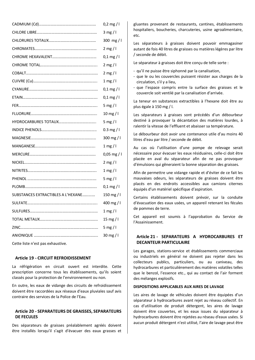|                                    | $0,2$ mg / l    |
|------------------------------------|-----------------|
|                                    | $3$ mg / l      |
|                                    | 300 mg/l        |
|                                    | $2$ mg / l      |
|                                    | $0,1$ mg / l    |
|                                    | $2$ mg / l      |
|                                    | $2$ mg / l      |
|                                    | 1 mg/l          |
|                                    | $0,1$ mg / l    |
|                                    | $0,1$ mg / l    |
|                                    | 5 mg / $\vert$  |
|                                    | $10$ mg / l     |
|                                    | 5 mg / $\vert$  |
|                                    | $0.3$ mg / l    |
|                                    | 300 mg/l        |
|                                    | 1 mg / $\vert$  |
|                                    | $0,05$ mg / l   |
|                                    | $2$ mg / l      |
|                                    | $1$ mg / l      |
|                                    | 5 mg / $\vert$  |
|                                    | $0,1$ mg / l    |
| SUBSTANCES EXTRACTIBLES A L'HEXANE | 150 mg/l        |
|                                    | 400 mg/l        |
|                                    | 1 mg/l          |
|                                    | 15 mg / $\vert$ |
|                                    | 5 mg / $\vert$  |
|                                    | $30$ mg / l     |
|                                    |                 |

Cette liste n'est pas exhaustive.

#### **Article 19 - CIRCUIT REFROIDISSEMENT**

La réfrigération en circuit ouvert est interdite. Cette prescription concerne tous les établissements, qu'ils soient classés pour la protection de l'environnement ou non.

En outre, les eaux de vidange des circuits de refroidissement doivent être raccordées aux réseaux d'eaux pluviales sauf avis contraire des services de la Police de l'Eau.

#### **Article 20 - SEPARATEURS DE GRAISSES, SEPARATEURS DE FECULES**

Des séparateurs de graisses préalablement agréés doivent être installés lorsqu'il s'agit d'évacuer des eaux grasses et gluantes provenant de restaurants, cantines, établissements hospitaliers, boucheries, charcuteries, usine agroalimentaire, etc.

Les séparateurs à graisses doivent pouvoir emmagasiner autant de fois 40 litres de graisses ou matières légères par litre / seconde de débit.

Le séparateur à graisses doit être conçu de telle sorte :

- qu'il ne puisse être siphonné par la canalisation,
- que le ou les couvercles puissent résister aux charges de la circulation, s'il y a lieu,
- que l'espace compris entre la surface des graisses et le couvercle soit ventilé par la canalisation d'arrivée.

La teneur en substances extractibles à l'hexane doit être au plus égale à 150 mg / l.

Les séparateurs à graisses sont précédés d'un débourbeur destiné à provoquer la décantation des matières lourdes, à ralentir la vitesse de l'effluent et abaisser sa température.

Le débourbeur doit avoir une contenance utile d'au moins 40 litres d'eau par litre / seconde de débit.

Au cas où l'utilisation d'une pompe de relevage serait nécessaire pour évacuer les eaux résiduaires, celle-ci doit être placée en aval du séparateur afin de ne pas provoquer d'émulsions qui gêneraient la bonne séparation des graisses.

Afin de permettre une vidange rapide et d'éviter de ce fait les mauvaises odeurs, les séparateurs de graisses doivent être placés en des endroits accessibles aux camions citernes équipés d'un matériel spécifique d'aspiration.

Certains établissements doivent prévoir, sur la conduite d'évacuation des eaux usées, un appareil retenant les fécules de pommes de terre.

Cet appareil est soumis à l'approbation du Service de l'Assainissement.

## **Article 21 - SEPARATEURS A HYDROCARBURES ET DECANTEUR PARTICULAIRE**

Les garages, stations-service et établissements commerciaux ou industriels en général ne doivent pas rejeter dans les collecteurs publics, particuliers, ou au caniveau, des hydrocarbures et particulièrement des matières volatiles telles que le benzol, l'essence etc., qui au contact de l'air forment des mélanges explosifs.

#### **DISPOSITIONS APPLICABLES AUX AIRES DE LAVAGE**

Les aires de lavage de véhicules doivent être équipées d'un séparateur à hydrocarbures avant rejet au réseau collectif. En cas d'utilisation de produit détergent, les aires de lavage doivent être couvertes, et les eaux issues du séparateur à hydrocarbures doivent être rejetées au réseau d'eaux usées. Si aucun produit détergent n'est utilisé, l'aire de lavage peut être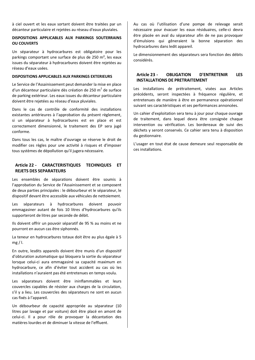à ciel ouvert et les eaux sortant doivent être traitées par un décanteur particulaire et rejetées au réseau d'eaux pluviales.

#### **DISPOSITIONS APPLICABLES AUX PARKINGS SOUTERRAINS OU COUVERTS**

Un séparateur à hydrocarbures est obligatoire pour les parkings comportant une surface de plus de 250 m², les eaux issues du séparateur à hydrocarbures doivent être rejetées au réseau d'eaux usées.

#### **DISPOSITIONS APPLICABLES AUX PARKINGS EXTERIEURS**

Le Service de l'Assainissement peut demander la mise en place d'un décanteur particulaire dès création de 250 m<sup>2</sup> de surface de parking extérieur. Les eaux issues du décanteur particulaire doivent être rejetées au réseau d'eaux pluviales.

Dans le cas de contrôle de conformité des installations existantes antérieures à l'approbation du présent règlement, si un séparateur à hydrocarbures est en place et est correctement dimensionné, le traitement des EP sera jugé conforme.

Dans tous les cas, le maître d'ouvrage se réserve le droit de modifier ces règles pour une activité à risques et d'imposer tous systèmes de dépollution qu'il jugera nécessaire.

#### **Article 22 - CARACTERISTIQUES TECHNIQUES ET REJETS DES SEPARATEURS**

Les ensembles de séparations doivent être soumis à l'approbation du Service de l'Assainissement et se composent de deux parties principales : le débourbeur et le séparateur, le dispositif devant être accessible aux véhicules de nettoiement.

Les séparateurs à hydrocarbures doivent pouvoir emmagasiner autant de fois 10 litres d'hydrocarbures qu'ils supporteront de litres par seconde de débit.

Ils doivent offrir un pouvoir séparatif de 95 % au moins et ne pourront en aucun cas être siphonnés.

La teneur en hydrocarbures totaux doit être au plus égale à 5 mg / l.

En outre, lesdits appareils doivent être munis d'un dispositif d'obturation automatique qui bloquera la sortie du séparateur lorsque celui-ci aura emmagasiné sa capacité maximum en hydrocarbure, ce afin d'éviter tout accident au cas où les installations n'auraient pas été entretenues en temps voulu.

Les séparateurs doivent être ininflammables et leurs couvercles capables de résister aux charges de la circulation, s'il y a lieu. Les couvercles des séparateurs ne sont en aucun cas fixés à l'appareil.

Un débourbeur de capacité appropriée au séparateur (10 litres par lavage et par voiture) doit être placé en amont de celui-ci. Il a pour rôle de provoquer la décantation des matières lourdes et de diminuer la vitesse de l'effluent.

Au cas où l'utilisation d'une pompe de relevage serait nécessaire pour évacuer les eaux résiduaires, celle-ci devra être placée en aval du séparateur afin de ne pas provoquer d'émulsions qui gêneraient la bonne séparation des hydrocarbures dans ledit appareil.

Le dimensionnement des séparateurs sera fonction des débits considérés.

#### **Article 23 - OBLIGATION D'ENTRETENIR LES INSTALLATIONS DE PRETRAITEMENT**

Les installations de prétraitement, visées aux Articles précédents, seront inspectées à fréquence régulière, et entretenues de manière à être en permanence opérationnel suivant ses caractéristiques et ses performances annoncées.

Un cahier d'exploitation sera tenu à jour pour chaque ouvrage de traitement, dans lequel devra être consignée chaque intervention ou vérification. Les bordereaux de suivi des déchets y seront conservés. Ce cahier sera tenu à disposition du gestionnaire.

L'usager en tout état de cause demeure seul responsable de ces installations.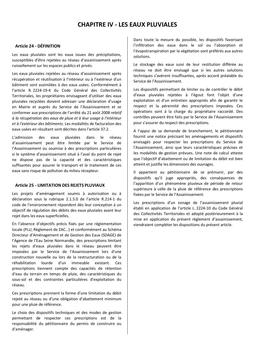# **CHAPITRE IV - LES EAUX PLUVIALES**

## **Article 24 - DÉFINITION**

Les eaux pluviales sont les eaux issues des précipitations, susceptibles d'être rejetées au réseau d'assainissement après ruissellement sur les espaces publics et privés.

Les eaux pluviales rejetées au réseau d'assainissement après récupération et réutilisation à l'intérieur ou à l'extérieur d'un bâtiment sont assimilées à des eaux usées. Conformément à l'article R. 2224-19-4 du Code Général des Collectivités Territoriales, les propriétaires envisageant d'utiliser des eaux pluviales recyclées doivent adresser une déclaration d'usage en Mairie et auprès du Service de l'Assainissement et se conformer aux prescriptions de l'arrêté du 21 août 2008 *relatif à la récupération des eaux de pluie et à leur usage à l'intérieur et à l'extérieur des bâtiments*. Les modalités de facturation des eaux usées en résultant sont décrites dans l'article 37.2.

L'admission des eaux pluviales dans le réseau d'assainissement peut être limitée par le Service de l'Assainissement ou soumise à des prescriptions particulières si le système d'assainissement situé à l'aval du point de rejet ne dispose pas de la capacité et des caractéristiques suffisantes pour assurer le transport et le traitement de ces eaux sans risque de pollution du milieu récepteur.

#### **Article 25 - LIMITATION DES REJETS PLUVIAUX**

Les projets d'aménagement soumis à autorisation ou à déclaration sous la rubrique 2.1.5.0 de l'article R.214-1 du code de l'environnement répondent dès leur conception à un objectif de régulation des débits des eaux pluviales avant leur rejet dans les eaux superficielles.

En l'absence d'objectifs précis fixés par une réglementation locale (PLU, Règlement de ZAC…) et conformément au Schéma Directeur d'Aménagement et de Gestion des Eaux (SDAGE) de l'Agence de l'Eau Seine Normandie, des prescriptions limitant les rejets d'eaux pluviales dans le réseau peuvent être imposées par le Service de l'Assainissement lors d'une construction nouvelle ou lors de la restructuration ou de la réhabilitation lourde d'un immeuble existant. Ces prescriptions tiennent compte des capacités de rétention d'eau du terrain en temps de pluie, des caractéristiques du sous-sol et des contraintes particulières d'exploitation du réseau.

Ces prescriptions prennent la forme d'une limitation du débit rejeté au réseau ou d'une obligation d'abattement minimum pour une pluie de référence.

Le choix des dispositifs techniques et des modes de gestion permettant de respecter ces prescriptions est de la responsabilité du pétitionnaire du permis de construire ou d'aménager.

Dans toute la mesure du possible, les dispositifs favorisant l'infiltration des eaux dans le sol ou l'absorption et l'évapotranspiration par la végétation sont préférés aux autres solutions.

Le stockage des eaux suivi de leur restitution différée au réseau ne doit être envisagé que si les autres solutions techniques s'avèrent insuffisantes, après accord préalable du Service de l'Assainissement.

Les dispositifs permettant de limiter ou de contrôler le débit d'eaux pluviales rejetées à l'égout font l'objet d'une exploitation et d'un entretien appropriés afin de garantir le respect et la pérennité des prescriptions imposées. Ces opérations sont à la charge du propriétaire raccordé. Des contrôles peuvent être faits par le Service de l'Assainissement pour s'assurer du respect des prescriptions.

A l'appui de sa demande de branchement, le pétitionnaire fournit une notice précisant les aménagements et dispositifs envisagés pour respecter les prescriptions du Service de l'Assainissement, ainsi que leurs caractéristiques précises et les modalités de gestion prévues. Une note de calcul atteste que l'objectif d'abattement ou de limitation du débit est bien atteint et justifie les dimensions des ouvrages.

Il appartient au pétitionnaire de se prémunir, par des dispositifs qu'il juge appropriés, des conséquences de l'apparition d'un phénomène pluvieux de période de retour supérieure à celle de la pluie de référence des prescriptions fixées par le Service de l'Assainissement.

Les prescriptions d'un zonage de l'assainissement pluvial établi en application de l'article L. 2224-10 du Code Général des Collectivités Territoriales et adopté postérieurement à la mise en application du présent règlement d'assainissement, viendraient compléter les dispositions du présent article.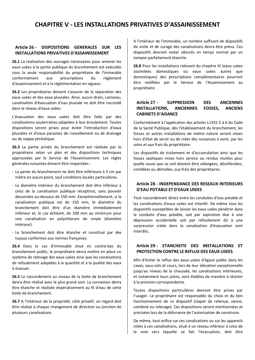# **CHAPITRE V - LES INSTALLATIONS PRIVATIVES D'ASSAINISSEMENT**

#### **Article 26 - DISPOSITIONS GENERALES SUR LES INSTALLATIONS PRIVATIVES D'ASSAINISSEMENT**

**26.1** La réalisation des ouvrages nécessaires pour amener les eaux usées à la partie publique du branchement est exécutée sous la seule responsabilité du propriétaire de l'immeuble conformément aux prescriptions du règlement d'assainissement et à la réglementation en vigueur.

**26.2** Les propriétaires doivent s'assurer de la séparation des eaux usées et des eaux pluviales. Ainsi, aucun drain, caniveau, canalisation d'évacuation d'eau pluviale ne doit être raccordé dans le réseau d'eaux usées.

L'évacuation des eaux usées doit être faite par des canalisations souterraines adaptées à leur écoulement. Toutes dispositions seront prises pour éviter l'introduction d'eaux pluviales et d'eaux parasites de ruissellement ou de drainage ou de nappe phréatique.

**26.3** La partie privée du branchement est réalisée par le propriétaire selon un plan et des dispositions techniques approuvées par le Service de l'Assainissement. Les règles générales suivantes doivent être respectées :

- La pente du branchement ne doit être inférieure à 3 cm par mètre en aucun point, sauf conditions locales particulières.
- Le diamètre intérieur du branchement doit être inférieur à celui de la canalisation publique réceptrice, sans pouvoir descendre au-dessous de 150 mm. Exceptionnellement, si la canalisation publique est de 150 mm, le diamètre du branchement doit être d'un diamètre immédiatement inférieur et, le cas échéant, de 100 mm au minimum pour une canalisation en polychlorure de vinyle (diamètre intérieur).
- Le branchement doit être étanche et constitué par des tuyaux conformes aux normes françaises.

**26.4** Dans le cas d'immeuble situé en contre-bas du branchement public, le propriétaire devra mettre en place un système de relevage des eaux usées ainsi que les canalisations de refoulement adaptées à la quantité et à la qualité des eaux à évacuer.

**26.5** Le raccordement au niveau de la boite de branchement devra être réalisé avec le plus grand soin. La connexion devra être étanche et réalisée impérativement au fil d'eau de cette boite de branchement.

**26.7** A l'intérieur de la propriété, côté privatif, un regard doit être réalisé à chaque changement de direction ou jonction de plusieurs canalisations.

A l'intérieur de l'immeuble, un nombre suffisant de dispositifs de visite et de curage des canalisations devra être prévu. Ces dispositifs devront rester obturés en temps normal par un tampon parfaitement étanche.

**26.8** Pour les installations relevant du chapitre III (eaux usées assimilées domestiques ou eaux usées autres que domestiques) des prescriptions complémentaires pourront être notifiées par le Service de l'Assainissement au propriétaire.

# **Article 27 - SUPPRESSION DES ANCIENNES INSTALLATIONS, ANCIENNES FOSSES, ANCIENS CABINETS D'AISANCE**

Conformément à l'application des articles L1331-5 à 6 du Code de la Santé Publique, dès l'établissement du branchement, les fosses et autres installations de même nature seront mises hors d'état de servir ou de créer des nuisances à venir, par les soins et aux frais du propriétaire.

Les dispositifs de traitement et d'accumulation ainsi que les fosses septiques mises hors service ou rendus inutiles pour quelle cause que ce soit doivent être vidangées, désinfectées, comblées ou démolies, aux frais des propriétaires.

## **Article 28 - INDEPENDANCE DES RESEAUX INTERIEURS D'EAU POTABLE ET D'EAUX USEES**

Tout raccordement direct entre les conduites d'eau potable et les canalisations d'eaux usées est interdit. De même tous les dispositifs susceptibles de laisser les eaux usées pénétrer dans la conduite d'eau potable, soit par aspiration due à une dépression accidentelle soit par refoulement dû à une surpression créée dans la canalisation d'évacuation sont interdits.

#### **Article 29 - ETANCHEITE DES INSTALLATIONS ET PROTECTION CONTRE LE REFLUX DES EAUX USEES**

Afin d'éviter le reflux des eaux usées d'égout public dans les caves, sous-sols et cours, lors de leur élévation exceptionnelle jusqu'au niveau de la chaussée, les canalisations intérieures, et notamment leurs joints, sont établies de manière à résister à la pression correspondante.

Toutes dispositions particulières devront être prises par l'usager. Le propriétaire est responsable du choix et du bon fonctionnement de ce dispositif (clapet de retenue, vanne, combiné ou relevage). Ces dispositions seront mentionnées et précisées lors de la délivrance de l'autorisation de construire.

De même, tout orifice sur ces canalisations ou sur les appareils reliés à ces canalisations, situé à un niveau inférieur à celui de la voie vers laquelle se fait l'évacuation, doit être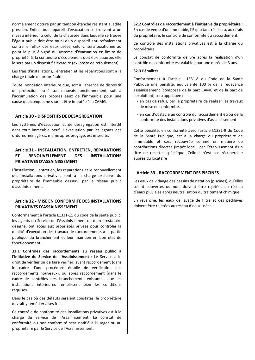normalement obturé par un tampon étanche résistant à ladite pression. Enfin, tout appareil d'évacuation se trouvant à un niveau inférieur à celui de la chaussée dans laquelle se trouve l'égout public doit être muni d'un dispositif anti-refoulement contre le reflux des eaux usées, celui-ci sera positionné au point le plus éloigné du système d'évacuation en limite de propriété. Si la continuité d'écoulement doit être assurée, elle le sera par un dispositif élévatoire (ex. poste de refoulement).

Les frais d'installations, l'entretien et les réparations sont à la charge totale du propriétaire.

Toute inondation intérieure due, soit à l'absence de dispositif de protection ou à son mauvais fonctionnement, soit à l'accumulation des propres eaux de l'immeuble pour une cause quelconque, ne saurait être imputée à la CAMG.

#### **Article 30 - DISPOSITIFS DE DESAGREGATION**

Les systèmes d'évacuation et de désagrégation est interdit dans tout immeuble neuf. L'évacuation par les égouts des ordures ménagères, même après broyage, est interdite.

# **Article 31 - INSTALLATION, ENTRETIEN, REPARATIONS ET RENOUVELLEMENT DES INSTALLATIONS PRIVATIVES D'ASSAINISSEMENT**

L'installation, l'entretien, les réparations et le renouvellement des installations privatives sont à la charge exclusive du propriétaire de l'immeuble desservi par le réseau public d'assainissement.

#### **Article 32 - MISE EN CONFORMITE DES INSTALLATIONS PRIVATIVES D'ASSAINISSEMENT**

Conformément à l'article L1331-11 du code de la santé public, les agents du Service de l'Assainissement ou d'un prestataire désigné, ont accès aux propriétés privées pour contrôler la qualité d'exécution des travaux de raccordements à la partie publique du branchement et leur maintien en bon état de fonctionnement.

**32.1 Contrôles des raccordements au réseau public à l'initiative du Service de l'Assainissement** : Le Service a le droit de vérifier ou de faire vérifier, avant raccordement (dans le cadre d'une procédure établie de vérification des raccordements nouveaux), ou après raccordement (dans le cadre de contrôles des branchements existants), que les installations intérieures remplissent bien les conditions requises.

Dans le cas où des défauts seraient constatés, le propriétaire devrait y remédier à ses frais.

Ce contrôle de conformité des installations privatives est à la charge du Service de l'Assainissement. Le constat de conformité ou non-conformité sera notifié à l'usager ou au propriétaire par le Service de l'Assainissement.

#### **32.2 Contrôles de raccordement à l'initiative du propriétaire** : En cas de vente d'un immeuble, l'Exploitant réalisera, aux frais du propriétaire, le contrôle de conformité du raccordement.

Ce contrôle des installations privatives est à la charge du propriétaire.

Le constat de conformité délivré après la réalisation d'un contrôle de conformité est valable pour une durée de 3 ans.

#### **32.3 Pénalités**:

Conformément à l'article L.1331-8 du Code de la Santé Publique une pénalité, équivalente 100 % de la redevance assainissement (composée de la part CAMG et de la part de l'exploitant) sera appliquée :

- en cas de refus, par le propriétaire de réaliser les travaux de mise en conformité.
- en cas d'obstacle au contrôle du raccordement et/ou de la conformité des installations privatives d'assainissement

Cette pénalité, en conformité avec l'article L1331-9 du Code de la Santé Publique, est à la charge du propriétaire de l'immeuble et sera recouvrée comme en matière de contributions directes (impôt local), par l'établissement d'un titre de recettes spécifique. Celle-ci n'est pas récupérable auprès du locataire

#### **Article 33 - RACCORDEMENT DES PISCINES**

Les eaux de vidange des bassins de natation (piscines), qu'elles soient couvertes ou non, doivent être rejetées au réseau d'eaux pluviales après neutralisation du traitement chimique.

En revanche, les eaux de lavage de filtre et des pédiluves doivent être rejetées au réseau d'eaux usées.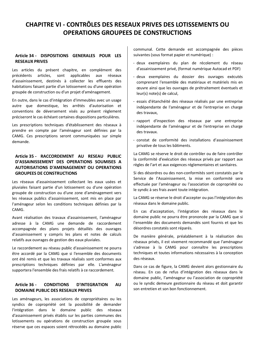# **CHAPITRE VI - CONTRÔLES DES RESEAUX PRIVES DES LOTISSEMENTS OU OPERATIONS GROUPEES DE CONSTRUCTIONS**

# **Article 34 - DISPOSITIONS GENERALES POUR LES RESEAUX PRIVES**

Les articles du présent chapitre, en complément des précédents articles, sont applicables aux réseaux d'assainissement, destinés à collecter les effluents des habitations faisant partie d'un lotissement ou d'une opération groupée de construction ou d'un projet d'aménagement.

En outre, dans le cas d'intégration d'immeubles avec un usage autre que domestique, les arrêtés d'autorisation et conventions de déversement visés au présent règlement préciseront le cas échéant certaines dispositions particulières.

Les prescriptions techniques d'établissement des réseaux à prendre en compte par l'aménageur sont définies par la CAMG. Ces prescriptions seront communiquées sur simple demande.

# **Article 35 - RACCORDEMENT AU RESEAU PUBLIC D'ASSAINISSEMENT DES OPERATIONS SOUMISES A AUTORISATIONS D'AMENAGEMENT OU OPERATIONS GROUPEES DE CONSTRUCTIONS**

Les réseaux d'assainissement collectant les eaux usées et pluviales faisant partie d'un lotissement ou d'une opération groupée de construction ou d'une zone d'aménagement vers les réseaux publics d'assainissement, sont mis en place par l'aménageur selon les conditions techniques définies par la CAMG.

Avant réalisation des travaux d'assainissement, l'aménageur adresse à la CAMG une demande de raccordement accompagnée des plans projets détaillés des ouvrages d'assainissement y compris les plans et notes de calculs relatifs aux ouvrages de gestion des eaux pluviales.

Le raccordement au réseau public d'assainissement ne pourra être accordé par la CAMG que si l'ensemble des documents ont été remis et que les travaux réalisés sont conformes aux prescriptions techniques définies par elle. L'aménageur supportera l'ensemble des frais relatifs à ce raccordement.

## **Article 36 - CONDITIONS D'INTEGRATION AU DOMAINE PUBLIC DES RESEAUX PRIVES**

Les aménageurs, les associations de copropriétaires ou les syndics de copropriété ont la possibilité de demander l'intégration dans le domaine public des réseaux d'assainissement privés établis sur les parties communes des lotissements ou opérations de construction groupée sous réserve que ces espaces soient rétrocédés au domaine public communal. Cette demande est accompagnée des pièces suivantes (sous format papier et numérique) :

- deux exemplaires du plan de récolement du réseau d'assainissement privé, (format numérique Autocad et PDF)
- deux exemplaires du dossier des ouvrages exécutés comprenant l'ensemble des matériaux et matériels mis en œuvre ainsi que les ouvrages de prétraitement éventuels et leur(s) note(s) de calcul,
- essais d'étanchéité des réseaux réalisés par une entreprise indépendante de l'aménageur et de l'entreprise en charge des travaux,
- rapport d'inspection des réseaux par une entreprise indépendante de l'aménageur et de l'entreprise en charge des travaux.
- constat de conformité des installations d'assainissement privative de tous les bâtiments.

La CAMG se réserve le droit de contrôler ou de faire contrôler la conformité d'exécution des réseaux privés par rapport aux règles de l'art et aux exigences réglementaires et sanitaires.

Si des désordres ou des non-conformités sont constatés par le Service de l'Assainissement, la mise en conformité sera effectuée par l'aménageur ou l'association de copropriété ou le syndic à ses frais avant toute intégration.

La CAMG se réserve le droit d'accepter ou pas l'intégration des réseaux dans le domaine public.

En cas d'acceptation, l'intégration des réseaux dans le domaine public ne pourra être prononcée par la CAMG que si l'ensemble des documents demandés sont fournis et que les désordres constatés sont réparés.

De manière générale, préalablement à la réalisation des réseaux privés, il est vivement recommandé que l'aménageur s'adresse à la CAMG pour connaître les prescriptions techniques et toutes informations nécessaires à la conception des réseaux.

Dans ce cas de figure, la CAMG devient alors gestionnaire du réseau. En cas de refus d'intégration des réseaux dans le domaine public, l'aménageur ou l'association de copropriété ou le syndic demeure gestionnaire du réseau et doit garantir son entretien et son bon fonctionnement.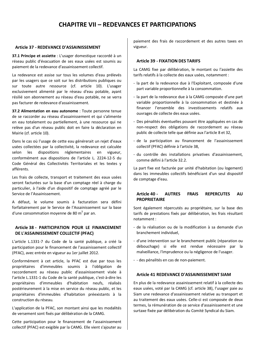# **CHAPITRE VII – REDEVANCES ET PARTICIPATIONS**

#### **Article 37 - REDEVANCE D'ASSAINISSEMENT**

**37.1 Principe et assiette** : L'usager domestique raccordé à un réseau public d'évacuation de ses eaux usées est soumis au paiement de la redevance d'assainissement collectif.

La redevance est assise sur tous les volumes d'eau prélevés par les usagers que ce soit sur les distributions publiques ou sur toute autre ressource (cf. article 10). L'usager exclusivement alimenté par le réseau d'eau potable, ayant résilié son abonnement au réseau d'eau potable, ne se verra pas facturer de redevance d'assainissement.

**37.2 Alimentation en eau autonome** : Toute personne tenue de se raccorder au réseau d'assainissement et qui s'alimente en eau totalement ou partiellement, à une ressource qui ne relève pas d'un réseau public doit en faire la déclaration en Mairie (cf. article 10).

Dans le cas où l'usage de cette eau générerait un rejet d'eaux usées collectées par la collectivité, la redevance est calculée selon les dispositions réglementaires en vigueur, conformément aux dispositions de l'article L. 2224-12-5 du Code Général des Collectivités Territoriales et les textes y afférents.

Les frais de collecte, transport et traitement des eaux usées seront facturées sur la base d'un comptage réel à charge du particulier, à l'aide d'un dispositif de comptage agréé par le Service de l'Assainissement.

A défaut, le volume soumis à facturation sera défini forfaitairement par le Service de l'Assainissement sur la base d'une consommation moyenne de 80  $m^3$  par an.

## **Article 38 - PARTICIPATION POUR LE FINANCEMENT DE L'ASSAINISSEMENT COLLECTIF (PFAC)**

L'article L.1331-7 du Code de la santé publique, a créé la participation pour le financement de l'assainissement collectif (PFAC), avec entrée en vigueur au 1er juillet 2012.

Conformément à cet article, la PFAC est due par tous les propriétaires d'immeubles soumis à l'obligation de raccordement au réseau public d'assainissement visée à l'article L.1331-1 du Code de la santé publique, c'est-à-dire les propriétaires d'immeubles d'habitation neufs, réalisés postérieurement à la mise en service du réseau public, et les propriétaires d'immeubles d'habitation préexistants à la construction du réseau.

L'application de la PFAC, son montant ainsi que les modalités de versement sont fixés par délibération de la CAMG.

Cette participation pour le financement de l'assainissement collectif (PFAC) est exigible par la CAMG. Elle vient s'ajouter au paiement des frais de raccordement et des autres taxes en vigueur.

#### **Article 39 - FIXATION DES TARIFS**

La CAMG fixe par délibération, le montant ou l'assiette des tarifs relatifs à la collecte des eaux usées, notamment :

- la part de la redevance due à l'Exploitant, composée d'une part variable proportionnelle à la consommation.
- la part de la redevance due à la CAMG composée d'une part variable proportionnelle à la consommation et destinée à financer l'ensemble des investissements relatifs aux ouvrages de collecte des eaux usées.
- Des pénalités éventuelles pouvant être appliquées en cas de non-respect des obligations de raccordement au réseau public de collecte telle que définie aux l'article 8 et 32,
- de la participation au financement de l'assainissement collectif (PFAC) définie à l'article 38,
- du contrôle des installations privatives d'assainissement, comme défini à l'article 32.2.

La part fixe est facturée par unité d'habitation (ou logement) dans les immeubles collectifs bénéficiant d'un seul dispositif de comptage d'eau.

## **Article 40 - AUTRES FRAIS REPERCUTES AU PROPRIETAIRE**

Sont également répercutés au propriétaire, sur la base des tarifs de prestations fixés par délibération, les frais résultant notamment :

- de la réalisation ou de la modification à sa demande d'un branchement individuel,
- d'une intervention sur le branchement public (réparation ou débouchage) si elle est rendue nécessaire par la malveillance, l'imprudence ou la négligence de l'usager.
- - des pénalités en cas de non-paiement.

# **Article 41 REDEVANCE D'ASSAINISSEMENT SIAM**

En plus de la redevance assainissement relatif à la collecte des eaux usées, voté par la CAMG (cf. article 38), l'usager paie au Siam une redevance d'assainissement relative au transport et au traitement des eaux usées. Celle-ci est composée de deux termes, la rémunération de ce service d'assainissement et une surtaxe fixée par délibération du Comité Syndical du Siam.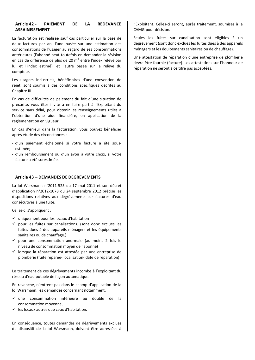#### **Article 42 - PAIEMENT DE LA REDEVANCE ASSAINISSEMENT**

La facturation est réalisée sauf cas particulier sur la base de deux factures par an, l'une basée sur une estimation des consommations de l'usager au regard de ses consommations antérieures (l'abonné peut toutefois en demander la révision en cas de différence de plus de 20  $m^3$  entre l'index relevé par lui et l'index estimé), et l'autre basée sur la relève du compteur.

Les usagers industriels, bénéficiaires d'une convention de rejet, sont soumis à des conditions spécifiques décrites au Chapitre III.

En cas de difficultés de paiement du fait d'une situation de précarité, vous êtes invité à en faire part à l'Exploitant du service sans délai, pour obtenir les renseignements utiles à l'obtention d'une aide financière, en application de la réglementation en vigueur.

En cas d'erreur dans la facturation, vous pouvez bénéficier après étude des circonstances :

- d'un paiement échelonné si votre facture a été sousestimée;
- d'un remboursement ou d'un avoir à votre choix, si votre facture a été surestimée.

# **Article 43 – DEMANDES DE DEGREVEMENTS**

La loi Warsmann n°2011-525 du 17 mai 2011 et son décret d'application n°2012-1078 du 24 septembre 2012 précise les dispositions relatives aux dégrèvements sur factures d'eau consécutives à une fuite.

Celles-ci s'appliquent :

- $\checkmark$  uniquement pour les locaux d'habitation
- $\checkmark$  pour les fuites sur canalisations. (sont donc exclues les fuites dues à des appareils ménagers et les équipements sanitaires ou de chauffage.)
- $\checkmark$  pour une consommation anormale (au moins 2 fois le niveau de consommation moyen de l'abonné)
- $\checkmark$  lorsque la réparation est attestée par une entreprise de plomberie (fuite réparée- localisation- date de réparation)

Le traitement de ces dégrèvements incombe à l'exploitant du réseau d'eau potable de façon automatique.

En revanche, n'entrent pas dans le champ d'application de la loi Warsmann, les demandes concernant notamment:

- ¸ une consommation inférieure au double de la consommation moyenne,
- $\checkmark$  les locaux autres que ceux d'habitation.

En conséquence, toutes demandes de dégrèvements exclues du dispositif de la loi Warsmann, doivent être adressées à l'Exploitant. Celles-ci seront, après traitement, soumises à la CAMG pour décision.

Seules les fuites sur canalisation sont éligibles à un dégrèvement (sont donc exclues les fuites dues à des appareils ménagers et les équipements sanitaires ou de chauffage).

Une attestation de réparation d'une entreprise de plomberie devra être fournie (facture). Les attestations sur l'honneur de réparation ne seront à ce titre pas acceptées.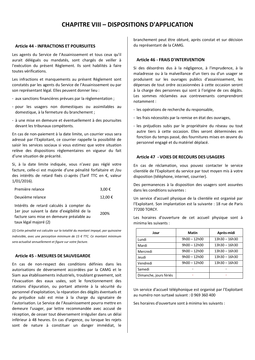# **CHAPITRE VIII – DISPOSITIONS D'APPLICATION**

#### **Article 44 - INFRACTIONS ET POURSUITES**

Les agents du Service de l'Assainissement et tous ceux qu'il aurait délégués ou mandatés, sont chargés de veiller à l'exécution du présent Règlement. Ils sont habilités à faire toutes vérifications.

Les infractions et manquements au présent Règlement sont constatés par les agents du Service de l'Assainissement ou par son représentant légal. Elles peuvent donner lieu :

- aux sanctions financières prévues par la règlementation ;
- pour les usagers non domestiques ou assimilables au domestique, à la fermeture du branchement ;
- à une mise en demeure et éventuellement à des poursuites devant les tribunaux compétents.

En cas de non-paiement à la date limite, un courrier vous sera adressé par l'Exploitant, ce courrier rappelle la possibilité de saisir les services sociaux si vous estimez que votre situation relève des dispositions règlementaires en vigueur du fait d'une situation de précarité.

Si, à la date limite indiquée, vous n'avez pas réglé votre facture, celle-ci est majorée d'une pénalité forfaitaire et /ou des intérêts de retard fixés ci-après (Tarif TTC en €, valeur 1/01/2016).

| Première relance                                                                                                                                               | 3,00 €  |
|----------------------------------------------------------------------------------------------------------------------------------------------------------------|---------|
| Deuxième relance                                                                                                                                               | 12,00 € |
| Intérêts de retard calculés à compter du<br>1er jour suivant la date d'exigibilité de la<br>facture sans mise en demeure préalable au<br>taux légal majoré (2) | 200%    |

*(2) Cette pénalité est calculée sur la totalité du montant impayé, par quinzaine indivisible, avec une perception minimum de 15 € TTC. Ce montant minimum sera actualisé annuellement et figure sur votre facture.*

#### **Article 45 - MESURES DE SAUVEGARDE**

En cas de non-respect des conditions définies dans les autorisations de déversement accordées par la CAMG et le Siam aux établissements industriels, troublant gravement, soit l'évacuation des eaux usées, soit le fonctionnement des stations d'épuration, ou portant atteinte à la sécurité du personnel d'exploitation, la réparation des dégâts éventuels et du préjudice subi est mise à la charge du signataire de l'autorisation. Le Service de l'Assainissement pourra mettre en demeure l'usager, par lettre recommandée avec accusé de réception, de cesser tout déversement irrégulier dans un délai inférieur à 48 heures. En cas d'urgence, ou lorsque les rejets sont de nature à constituer un danger immédiat, le branchement peut être obturé, après constat et sur décision du représentant de la CAMG.

#### **Article 46 - FRAIS D'INTERVENTION**

Si des désordres dus à la négligence, à l'imprudence, à la maladresse ou à la malveillance d'un tiers ou d'un usager se produisent sur les ouvrages publics d'assainissement, les dépenses de tout ordre occasionnées à cette occasion seront à la charge des personnes qui sont à l'origine de ces dégâts. Les sommes réclamées aux contrevenants comprendront notamment :

- les opérations de recherche du responsable,
- les frais nécessités par la remise en état des ouvrages,
- les préjudices subis par le propriétaire du réseau ou tout autre tiers à cette occasion. Elles seront déterminées en fonction du temps passé, des fournitures mises en œuvre du personnel engagé et du matériel déplacé.

#### **Article 47 - VOIES DE RECOURS DES USAGERS**

En cas de réclamation, vous pouvez contacter le service clientèle de l'Exploitant du service par tout moyen mis à votre disposition (téléphone, internet, courrier).

Des permanences à la disposition des usagers sont assurées dans les conditions suivantes :

Un service d'accueil physique de la clientèle est organisé par l'Exploitant. Son implantation est la suivante : 18 rue de Paris 77200 TORCY.

Les horaires d'ouverture de cet accueil physique sont à minima les suivants :

| Jour                   | Matin          | Après-midi      |
|------------------------|----------------|-----------------|
| Lundi                  | $9h00 - 12h00$ | $13h30 - 16h30$ |
| Mardi                  | $9h00 - 12h00$ | 13h30 - 16h30   |
| Mercredi               | $9h00 - 12h00$ | $13h30 - 16h30$ |
| Jeudi                  | $9h00 - 12h00$ | $13h30 - 16h30$ |
| Vendredi               | $9h00 - 12h00$ | $13h30 - 16h30$ |
| Samedi                 |                |                 |
| Dimanche, jours fériés |                |                 |

Un service d'accueil téléphonique est organisé par l'Exploitant au numéro non surtaxé suivant : 0 969 360 400

Ses horaires d'ouverture sont à minima les suivants :